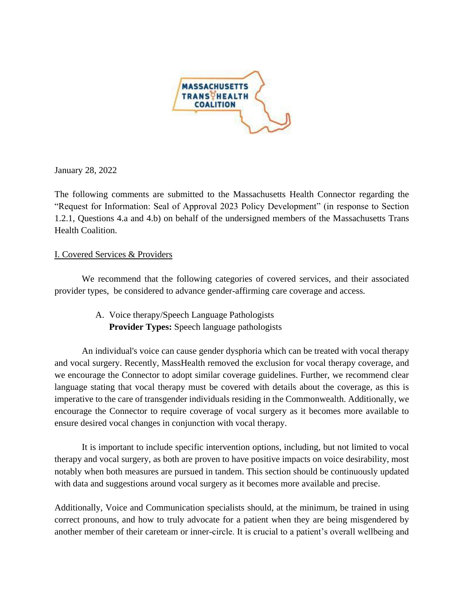

January 28, 2022

The following comments are submitted to the Massachusetts Health Connector regarding the "Request for Information: Seal of Approval 2023 Policy Development" (in response to Section 1.2.1, Questions 4.a and 4.b) on behalf of the undersigned members of the Massachusetts Trans Health Coalition.

### I. Covered Services & Providers

We recommend that the following categories of covered services, and their associated provider types, be considered to advance gender-affirming care coverage and access.

> A. Voice therapy/Speech Language Pathologists **Provider Types:** Speech language pathologists

An individual's voice can cause gender dysphoria which can be treated with vocal therapy and vocal surgery. Recently, MassHealth removed the exclusion for vocal therapy coverage, and we encourage the Connector to adopt similar coverage guidelines. Further, we recommend clear language stating that vocal therapy must be covered with details about the coverage, as this is imperative to the care of transgender individuals residing in the Commonwealth. Additionally, we encourage the Connector to require coverage of vocal surgery as it becomes more available to ensure desired vocal changes in conjunction with vocal therapy.

It is important to include specific intervention options, including, but not limited to vocal therapy and vocal surgery, as both are proven to have positive impacts on voice desirability, most notably when both measures are pursued in tandem. This section should be continuously updated with data and suggestions around vocal surgery as it becomes more available and precise.

Additionally, Voice and Communication specialists should, at the minimum, be trained in using correct pronouns, and how to truly advocate for a patient when they are being misgendered by another member of their careteam or inner-circle. It is crucial to a patient's overall wellbeing and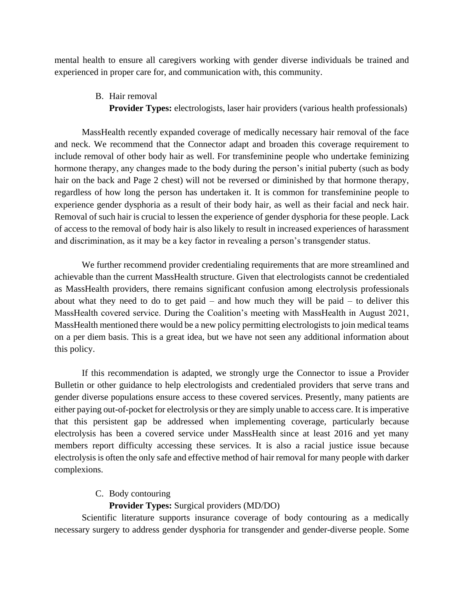mental health to ensure all caregivers working with gender diverse individuals be trained and experienced in proper care for, and communication with, this community.

B. Hair removal

**Provider Types:** electrologists, laser hair providers (various health professionals)

MassHealth recently expanded coverage of medically necessary hair removal of the face and neck. We recommend that the Connector adapt and broaden this coverage requirement to include removal of other body hair as well. For transfeminine people who undertake feminizing hormone therapy, any changes made to the body during the person's initial puberty (such as body hair on the back and Page 2 chest) will not be reversed or diminished by that hormone therapy, regardless of how long the person has undertaken it. It is common for transfeminine people to experience gender dysphoria as a result of their body hair, as well as their facial and neck hair. Removal of such hair is crucial to lessen the experience of gender dysphoria for these people. Lack of access to the removal of body hair is also likely to result in increased experiences of harassment and discrimination, as it may be a key factor in revealing a person's transgender status.

We further recommend provider credentialing requirements that are more streamlined and achievable than the current MassHealth structure. Given that electrologists cannot be credentialed as MassHealth providers, there remains significant confusion among electrolysis professionals about what they need to do to get paid – and how much they will be paid – to deliver this MassHealth covered service. During the Coalition's meeting with MassHealth in August 2021, MassHealth mentioned there would be a new policy permitting electrologists to join medical teams on a per diem basis. This is a great idea, but we have not seen any additional information about this policy.

If this recommendation is adapted, we strongly urge the Connector to issue a Provider Bulletin or other guidance to help electrologists and credentialed providers that serve trans and gender diverse populations ensure access to these covered services. Presently, many patients are either paying out-of-pocket for electrolysis or they are simply unable to access care. It is imperative that this persistent gap be addressed when implementing coverage, particularly because electrolysis has been a covered service under MassHealth since at least 2016 and yet many members report difficulty accessing these services. It is also a racial justice issue because electrolysis is often the only safe and effective method of hair removal for many people with darker complexions.

## C. Body contouring

# **Provider Types:** Surgical providers (MD/DO)

Scientific literature supports insurance coverage of body contouring as a medically necessary surgery to address gender dysphoria for transgender and gender-diverse people. Some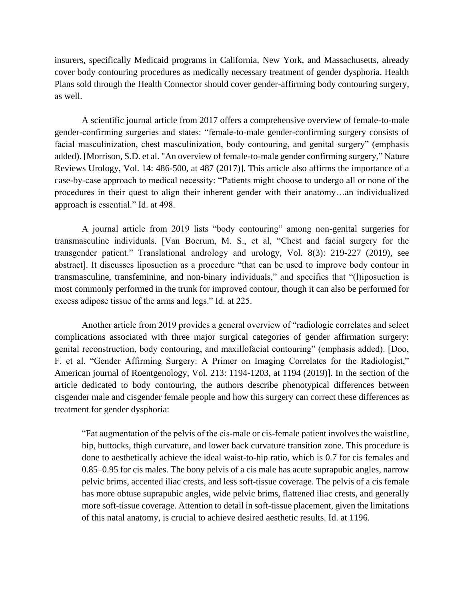insurers, specifically Medicaid programs in California, New York, and Massachusetts, already cover body contouring procedures as medically necessary treatment of gender dysphoria. Health Plans sold through the Health Connector should cover gender-affirming body contouring surgery, as well.

A scientific journal article from 2017 offers a comprehensive overview of female-to-male gender-confirming surgeries and states: "female-to-male gender-confirming surgery consists of facial masculinization, chest masculinization, body contouring, and genital surgery" (emphasis added). [Morrison, S.D. et al. "An overview of female-to-male gender confirming surgery," Nature Reviews Urology, Vol. 14: 486-500, at 487 (2017)]. This article also affirms the importance of a case-by-case approach to medical necessity: "Patients might choose to undergo all or none of the procedures in their quest to align their inherent gender with their anatomy…an individualized approach is essential." Id. at 498.

A journal article from 2019 lists "body contouring" among non-genital surgeries for transmasculine individuals. [Van Boerum, M. S., et al, "Chest and facial surgery for the transgender patient." Translational andrology and urology, Vol. 8(3): 219-227 (2019), see abstract]. It discusses liposuction as a procedure "that can be used to improve body contour in transmasculine, transfeminine, and non-binary individuals," and specifies that "(l)iposuction is most commonly performed in the trunk for improved contour, though it can also be performed for excess adipose tissue of the arms and legs." Id. at 225.

Another article from 2019 provides a general overview of "radiologic correlates and select complications associated with three major surgical categories of gender affirmation surgery: genital reconstruction, body contouring, and maxillofacial contouring" (emphasis added). [Doo, F. et al. "Gender Affirming Surgery: A Primer on Imaging Correlates for the Radiologist," American journal of Roentgenology, Vol. 213: 1194-1203, at 1194 (2019)]. In the section of the article dedicated to body contouring, the authors describe phenotypical differences between cisgender male and cisgender female people and how this surgery can correct these differences as treatment for gender dysphoria:

"Fat augmentation of the pelvis of the cis-male or cis-female patient involves the waistline, hip, buttocks, thigh curvature, and lower back curvature transition zone. This procedure is done to aesthetically achieve the ideal waist-to-hip ratio, which is 0.7 for cis females and 0.85–0.95 for cis males. The bony pelvis of a cis male has acute suprapubic angles, narrow pelvic brims, accented iliac crests, and less soft-tissue coverage. The pelvis of a cis female has more obtuse suprapubic angles, wide pelvic brims, flattened iliac crests, and generally more soft-tissue coverage. Attention to detail in soft-tissue placement, given the limitations of this natal anatomy, is crucial to achieve desired aesthetic results. Id. at 1196.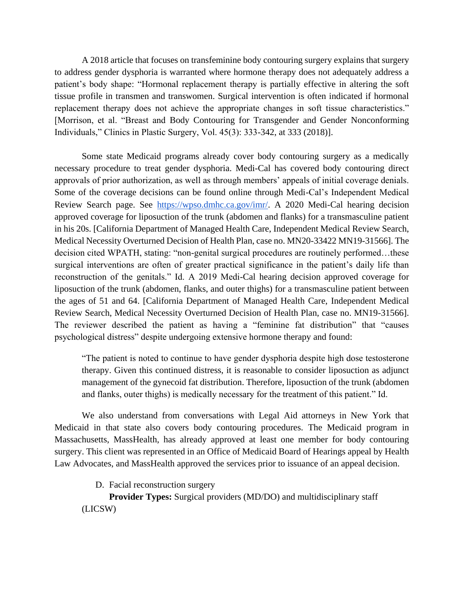A 2018 article that focuses on transfeminine body contouring surgery explains that surgery to address gender dysphoria is warranted where hormone therapy does not adequately address a patient's body shape: "Hormonal replacement therapy is partially effective in altering the soft tissue profile in transmen and transwomen. Surgical intervention is often indicated if hormonal replacement therapy does not achieve the appropriate changes in soft tissue characteristics." [Morrison, et al. "Breast and Body Contouring for Transgender and Gender Nonconforming Individuals," Clinics in Plastic Surgery, Vol. 45(3): 333-342, at 333 (2018)].

Some state Medicaid programs already cover body contouring surgery as a medically necessary procedure to treat gender dysphoria. Medi-Cal has covered body contouring direct approvals of prior authorization, as well as through members' appeals of initial coverage denials. Some of the coverage decisions can be found online through Medi-Cal's Independent Medical Review Search page. See [https://wpso.dmhc.ca.gov/imr/.](https://wpso.dmhc.ca.gov/imr/) A 2020 Medi-Cal hearing decision approved coverage for liposuction of the trunk (abdomen and flanks) for a transmasculine patient in his 20s. [California Department of Managed Health Care, Independent Medical Review Search, Medical Necessity Overturned Decision of Health Plan, case no. MN20-33422 MN19-31566]. The decision cited WPATH, stating: "non-genital surgical procedures are routinely performed…these surgical interventions are often of greater practical significance in the patient's daily life than reconstruction of the genitals." Id. A 2019 Medi-Cal hearing decision approved coverage for liposuction of the trunk (abdomen, flanks, and outer thighs) for a transmasculine patient between the ages of 51 and 64. [California Department of Managed Health Care, Independent Medical Review Search, Medical Necessity Overturned Decision of Health Plan, case no. MN19-31566]. The reviewer described the patient as having a "feminine fat distribution" that "causes psychological distress" despite undergoing extensive hormone therapy and found:

"The patient is noted to continue to have gender dysphoria despite high dose testosterone therapy. Given this continued distress, it is reasonable to consider liposuction as adjunct management of the gynecoid fat distribution. Therefore, liposuction of the trunk (abdomen and flanks, outer thighs) is medically necessary for the treatment of this patient." Id.

We also understand from conversations with Legal Aid attorneys in New York that Medicaid in that state also covers body contouring procedures. The Medicaid program in Massachusetts, MassHealth, has already approved at least one member for body contouring surgery. This client was represented in an Office of Medicaid Board of Hearings appeal by Health Law Advocates, and MassHealth approved the services prior to issuance of an appeal decision.

D. Facial reconstruction surgery

**Provider Types:** Surgical providers (MD/DO) and multidisciplinary staff (LICSW)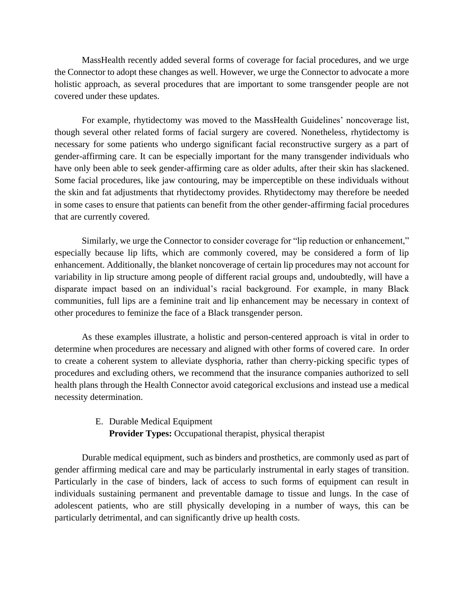MassHealth recently added several forms of coverage for facial procedures, and we urge the Connector to adopt these changes as well. However, we urge the Connector to advocate a more holistic approach, as several procedures that are important to some transgender people are not covered under these updates.

For example, rhytidectomy was moved to the MassHealth Guidelines' noncoverage list, though several other related forms of facial surgery are covered. Nonetheless, rhytidectomy is necessary for some patients who undergo significant facial reconstructive surgery as a part of gender-affirming care. It can be especially important for the many transgender individuals who have only been able to seek gender-affirming care as older adults, after their skin has slackened. Some facial procedures, like jaw contouring, may be imperceptible on these individuals without the skin and fat adjustments that rhytidectomy provides. Rhytidectomy may therefore be needed in some cases to ensure that patients can benefit from the other gender-affirming facial procedures that are currently covered.

Similarly, we urge the Connector to consider coverage for "lip reduction or enhancement," especially because lip lifts, which are commonly covered, may be considered a form of lip enhancement. Additionally, the blanket noncoverage of certain lip procedures may not account for variability in lip structure among people of different racial groups and, undoubtedly, will have a disparate impact based on an individual's racial background. For example, in many Black communities, full lips are a feminine trait and lip enhancement may be necessary in context of other procedures to feminize the face of a Black transgender person.

As these examples illustrate, a holistic and person-centered approach is vital in order to determine when procedures are necessary and aligned with other forms of covered care. In order to create a coherent system to alleviate dysphoria, rather than cherry-picking specific types of procedures and excluding others, we recommend that the insurance companies authorized to sell health plans through the Health Connector avoid categorical exclusions and instead use a medical necessity determination.

#### E. Durable Medical Equipment

**Provider Types:** Occupational therapist, physical therapist

Durable medical equipment, such as binders and prosthetics, are commonly used as part of gender affirming medical care and may be particularly instrumental in early stages of transition. Particularly in the case of binders, lack of access to such forms of equipment can result in individuals sustaining permanent and preventable damage to tissue and lungs. In the case of adolescent patients, who are still physically developing in a number of ways, this can be particularly detrimental, and can significantly drive up health costs.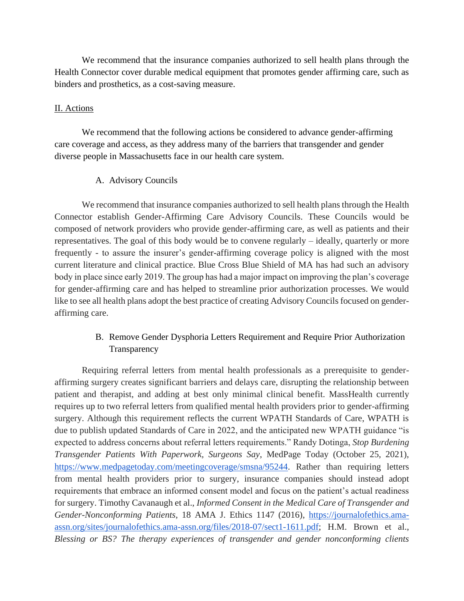We recommend that the insurance companies authorized to sell health plans through the Health Connector cover durable medical equipment that promotes gender affirming care, such as binders and prosthetics, as a cost-saving measure.

### II. Actions

We recommend that the following actions be considered to advance gender-affirming care coverage and access, as they address many of the barriers that transgender and gender diverse people in Massachusetts face in our health care system.

### A. Advisory Councils

We recommend that insurance companies authorized to sell health plans through the Health Connector establish Gender-Affirming Care Advisory Councils. These Councils would be composed of network providers who provide gender-affirming care, as well as patients and their representatives. The goal of this body would be to convene regularly – ideally, quarterly or more frequently - to assure the insurer's gender-affirming coverage policy is aligned with the most current literature and clinical practice. Blue Cross Blue Shield of MA has had such an advisory body in place since early 2019. The group has had a major impact on improving the plan's coverage for gender-affirming care and has helped to streamline prior authorization processes. We would like to see all health plans adopt the best practice of creating Advisory Councils focused on genderaffirming care.

# B. Remove Gender Dysphoria Letters Requirement and Require Prior Authorization Transparency

Requiring referral letters from mental health professionals as a prerequisite to genderaffirming surgery creates significant barriers and delays care, disrupting the relationship between patient and therapist, and adding at best only minimal clinical benefit. MassHealth currently requires up to two referral letters from qualified mental health providers prior to gender-affirming surgery. Although this requirement reflects the current WPATH Standards of Care, WPATH is due to publish updated Standards of Care in 2022, and the anticipated new WPATH guidance "is expected to address concerns about referral letters requirements." Randy Dotinga, *Stop Burdening Transgender Patients With Paperwork, Surgeons Say*, MedPage Today (October 25, 2021)[,](https://www.medpagetoday.com/meetingcoverage/smsna/95244) [https://www.medpagetoday.com/meetingcoverage/smsna/95244.](https://www.medpagetoday.com/meetingcoverage/smsna/95244) Rather than requiring letters from mental health providers prior to surgery, insurance companies should instead adopt requirements that embrace an informed consent model and focus on the patient's actual readiness for surgery. Timothy Cavanaugh et al., *Informed Consent in the Medical Care of Transgender and Gender-Nonconforming Patients*, 18 AMA J. Ethics 1147 (2016)[,](https://journalofethics.ama-assn.org/sites/journalofethics.ama-assn.org/files/2018-07/sect1-1611.pdf) [https://journalofethics.ama](https://journalofethics.ama-assn.org/sites/journalofethics.ama-assn.org/files/2018-07/sect1-1611.pdf)[assn.org/sites/journalofethics.ama-assn.org/files/2018-07/sect1-1611.pdf;](https://journalofethics.ama-assn.org/sites/journalofethics.ama-assn.org/files/2018-07/sect1-1611.pdf) H.M. Brown et al., *Blessing or BS? The therapy experiences of transgender and gender nonconforming clients*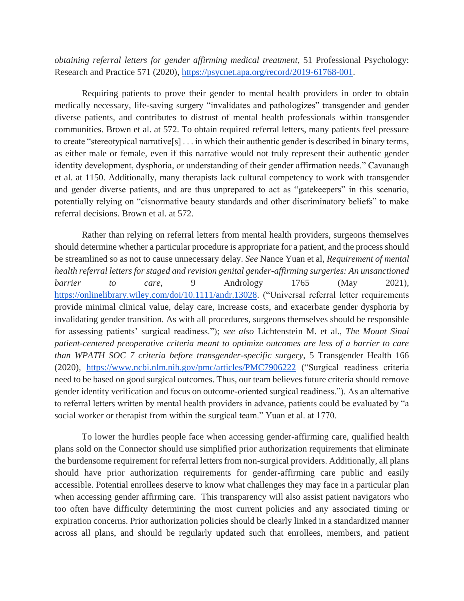*obtaining referral letters for gender affirming medical treatment*, 51 Professional Psychology: Research and Practice 571 (2020), [https://psycnet.apa.org/record/2019-61768-001.](https://psycnet.apa.org/record/2019-61768-001)

Requiring patients to prove their gender to mental health providers in order to obtain medically necessary, life-saving surgery "invalidates and pathologizes" transgender and gender diverse patients, and contributes to distrust of mental health professionals within transgender communities. Brown et al. at 572. To obtain required referral letters, many patients feel pressure to create "stereotypical narrative[s] . . . in which their authentic gender is described in binary terms, as either male or female, even if this narrative would not truly represent their authentic gender identity development, dysphoria, or understanding of their gender affirmation needs." Cavanaugh et al. at 1150. Additionally, many therapists lack cultural competency to work with transgender and gender diverse patients, and are thus unprepared to act as "gatekeepers" in this scenario, potentially relying on "cisnormative beauty standards and other discriminatory beliefs" to make referral decisions. Brown et al. at 572.

Rather than relying on referral letters from mental health providers, surgeons themselves should determine whether a particular procedure is appropriate for a patient, and the process should be streamlined so as not to cause unnecessary delay. *See* Nance Yuan et al, *Requirement of mental health referral letters for staged and revision genital gender-affirming surgeries: An unsanctioned barrier to care*, 9 Andrology 1765 (May 2021)[,](https://onlinelibrary.wiley.com/doi/10.1111/andr.13028) [https://onlinelibrary.wiley.com/doi/10.1111/andr.13028.](https://onlinelibrary.wiley.com/doi/10.1111/andr.13028) ("Universal referral letter requirements provide minimal clinical value, delay care, increase costs, and exacerbate gender dysphoria by invalidating gender transition. As with all procedures, surgeons themselves should be responsible for assessing patients' surgical readiness."); *see also* Lichtenstein M. et al., *The Mount Sinai patient-centered preoperative criteria meant to optimize outcomes are less of a barrier to care than WPATH SOC 7 criteria before transgender-specific surgery*, 5 Transgender Health 166 (2020)[,](https://www.ncbi.nlm.nih.gov/pmc/articles/PMC7906222) <https://www.ncbi.nlm.nih.gov/pmc/articles/PMC7906222> ("Surgical readiness criteria need to be based on good surgical outcomes. Thus, our team believes future criteria should remove gender identity verification and focus on outcome-oriented surgical readiness."). As an alternative to referral letters written by mental health providers in advance, patients could be evaluated by "a social worker or therapist from within the surgical team." Yuan et al. at 1770.

To lower the hurdles people face when accessing gender-affirming care, qualified health plans sold on the Connector should use simplified prior authorization requirements that eliminate the burdensome requirement for referral letters from non-surgical providers. Additionally, all plans should have prior authorization requirements for gender-affirming care public and easily accessible. Potential enrollees deserve to know what challenges they may face in a particular plan when accessing gender affirming care. This transparency will also assist patient navigators who too often have difficulty determining the most current policies and any associated timing or expiration concerns. Prior authorization policies should be clearly linked in a standardized manner across all plans, and should be regularly updated such that enrollees, members, and patient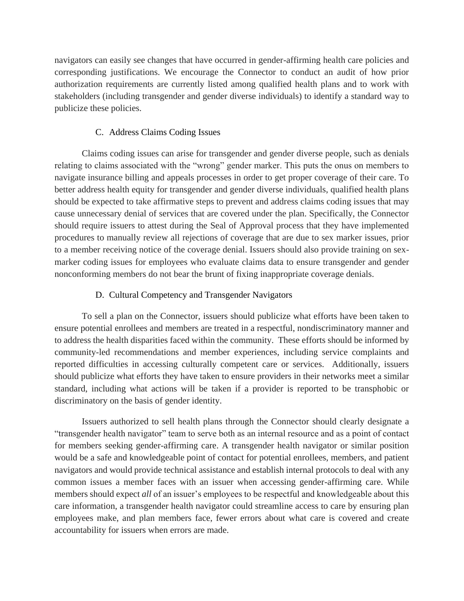navigators can easily see changes that have occurred in gender-affirming health care policies and corresponding justifications. We encourage the Connector to conduct an audit of how prior authorization requirements are currently listed among qualified health plans and to work with stakeholders (including transgender and gender diverse individuals) to identify a standard way to publicize these policies.

## C. Address Claims Coding Issues

Claims coding issues can arise for transgender and gender diverse people, such as denials relating to claims associated with the "wrong" gender marker. This puts the onus on members to navigate insurance billing and appeals processes in order to get proper coverage of their care. To better address health equity for transgender and gender diverse individuals, qualified health plans should be expected to take affirmative steps to prevent and address claims coding issues that may cause unnecessary denial of services that are covered under the plan. Specifically, the Connector should require issuers to attest during the Seal of Approval process that they have implemented procedures to manually review all rejections of coverage that are due to sex marker issues, prior to a member receiving notice of the coverage denial. Issuers should also provide training on sexmarker coding issues for employees who evaluate claims data to ensure transgender and gender nonconforming members do not bear the brunt of fixing inappropriate coverage denials.

## D. Cultural Competency and Transgender Navigators

To sell a plan on the Connector, issuers should publicize what efforts have been taken to ensure potential enrollees and members are treated in a respectful, nondiscriminatory manner and to address the health disparities faced within the community. These efforts should be informed by community-led recommendations and member experiences, including service complaints and reported difficulties in accessing culturally competent care or services. Additionally, issuers should publicize what efforts they have taken to ensure providers in their networks meet a similar standard, including what actions will be taken if a provider is reported to be transphobic or discriminatory on the basis of gender identity.

Issuers authorized to sell health plans through the Connector should clearly designate a "transgender health navigator" team to serve both as an internal resource and as a point of contact for members seeking gender-affirming care. A transgender health navigator or similar position would be a safe and knowledgeable point of contact for potential enrollees, members, and patient navigators and would provide technical assistance and establish internal protocols to deal with any common issues a member faces with an issuer when accessing gender-affirming care. While members should expect *all* of an issuer's employees to be respectful and knowledgeable about this care information, a transgender health navigator could streamline access to care by ensuring plan employees make, and plan members face, fewer errors about what care is covered and create accountability for issuers when errors are made.